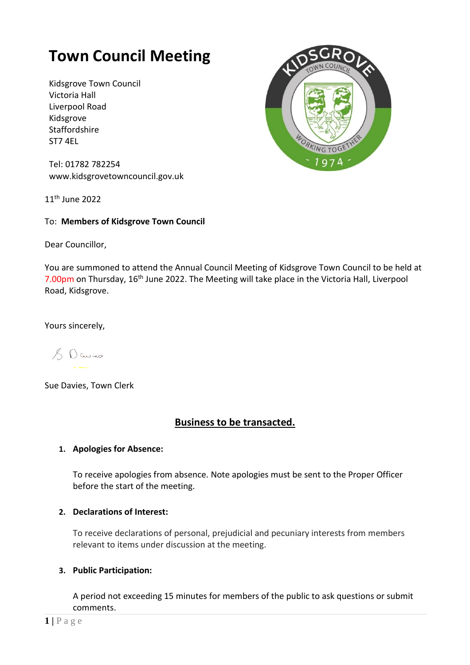# **Town Council Meeting**

Kidsgrove Town Council Victoria Hall Liverpool Road Kidsgrove Staffordshire ST7 4EL



Tel: 01782 782254 [www.kidsgrovetowncouncil.gov.uk](http://www.kidsgrovetowncouncil.gov.uk/)

11th June 2022

# To: **Members of Kidsgrove Town Council**

Dear Councillor,

You are summoned to attend the Annual Council Meeting of Kidsgrove Town Council to be held at 7.00pm on Thursday, 16<sup>th</sup> June 2022. The Meeting will take place in the Victoria Hall, Liverpool Road, Kidsgrove.

Yours sincerely,

& Davies

Sue Davies, Town Clerk

# **Business to be transacted.**

# **1. Apologies for Absence:**

To receive apologies from absence. Note apologies must be sent to the Proper Officer before the start of the meeting.

#### **2. Declarations of Interest:**

To receive declarations of personal, prejudicial and pecuniary interests from members relevant to items under discussion at the meeting.

#### **3. Public Participation:**

A period not exceeding 15 minutes for members of the public to ask questions or submit comments.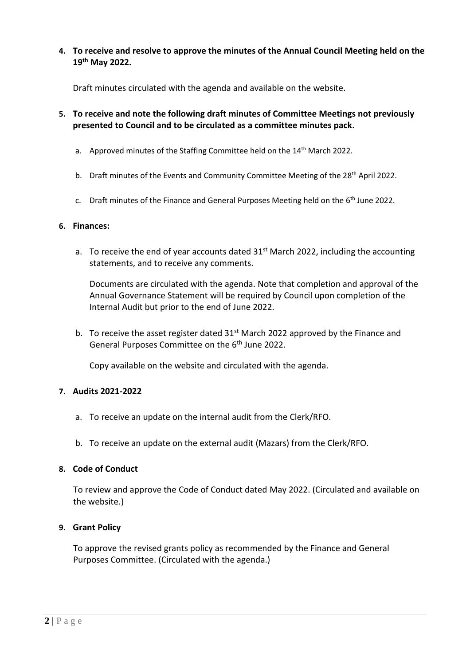**4. To receive and resolve to approve the minutes of the Annual Council Meeting held on the 19th May 2022.**

Draft minutes circulated with the agenda and available on the website.

- **5. To receive and note the following draft minutes of Committee Meetings not previously presented to Council and to be circulated as a committee minutes pack.**
	- a. Approved minutes of the Staffing Committee held on the 14<sup>th</sup> March 2022.
	- b. Draft minutes of the Events and Community Committee Meeting of the 28<sup>th</sup> April 2022.
	- c. Draft minutes of the Finance and General Purposes Meeting held on the 6<sup>th</sup> June 2022.

#### **6. Finances:**

a. To receive the end of year accounts dated  $31<sup>st</sup>$  March 2022, including the accounting statements, and to receive any comments.

Documents are circulated with the agenda. Note that completion and approval of the Annual Governance Statement will be required by Council upon completion of the Internal Audit but prior to the end of June 2022.

b. To receive the asset register dated  $31<sup>st</sup>$  March 2022 approved by the Finance and General Purposes Committee on the 6<sup>th</sup> June 2022.

Copy available on the website and circulated with the agenda.

#### **7. Audits 2021-2022**

- a. To receive an update on the internal audit from the Clerk/RFO.
- b. To receive an update on the external audit (Mazars) from the Clerk/RFO.

#### **8. Code of Conduct**

To review and approve the Code of Conduct dated May 2022. (Circulated and available on the website.)

#### **9. Grant Policy**

To approve the revised grants policy as recommended by the Finance and General Purposes Committee. (Circulated with the agenda.)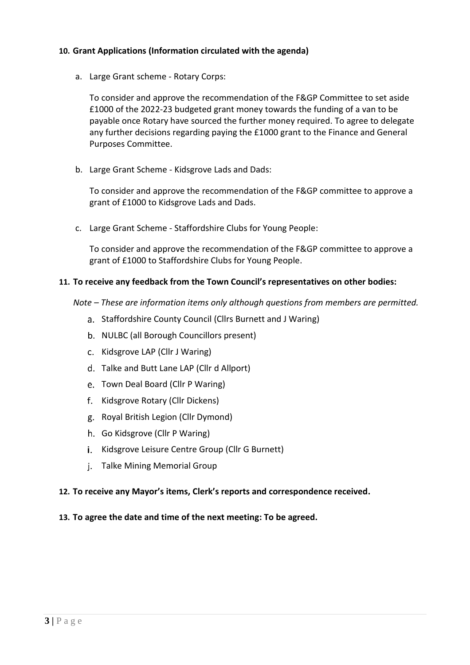# **10. Grant Applications (Information circulated with the agenda)**

a. Large Grant scheme - Rotary Corps:

To consider and approve the recommendation of the F&GP Committee to set aside £1000 of the 2022-23 budgeted grant money towards the funding of a van to be payable once Rotary have sourced the further money required. To agree to delegate any further decisions regarding paying the £1000 grant to the Finance and General Purposes Committee.

b. Large Grant Scheme - Kidsgrove Lads and Dads:

To consider and approve the recommendation of the F&GP committee to approve a grant of £1000 to Kidsgrove Lads and Dads.

c. Large Grant Scheme - Staffordshire Clubs for Young People:

To consider and approve the recommendation of the F&GP committee to approve a grant of £1000 to Staffordshire Clubs for Young People.

# **11. To receive any feedback from the Town Council's representatives on other bodies:**

- *Note – These are information items only although questions from members are permitted.* 
	- a. Staffordshire County Council (Cllrs Burnett and J Waring)
	- b. NULBC (all Borough Councillors present)
	- c. Kidsgrove LAP (Cllr J Waring)
	- Talke and Butt Lane LAP (Cllr d Allport)
	- e. Town Deal Board (Cllr P Waring)
	- f. Kidsgrove Rotary (Cllr Dickens)
	- g. Royal British Legion (Cllr Dymond)
	- h. Go Kidsgrove (Cllr P Waring)
	- i. Kidsgrove Leisure Centre Group (Cllr G Burnett)
	- j. Talke Mining Memorial Group

#### **12. To receive any Mayor's items, Clerk's reports and correspondence received.**

#### **13. To agree the date and time of the next meeting: To be agreed.**